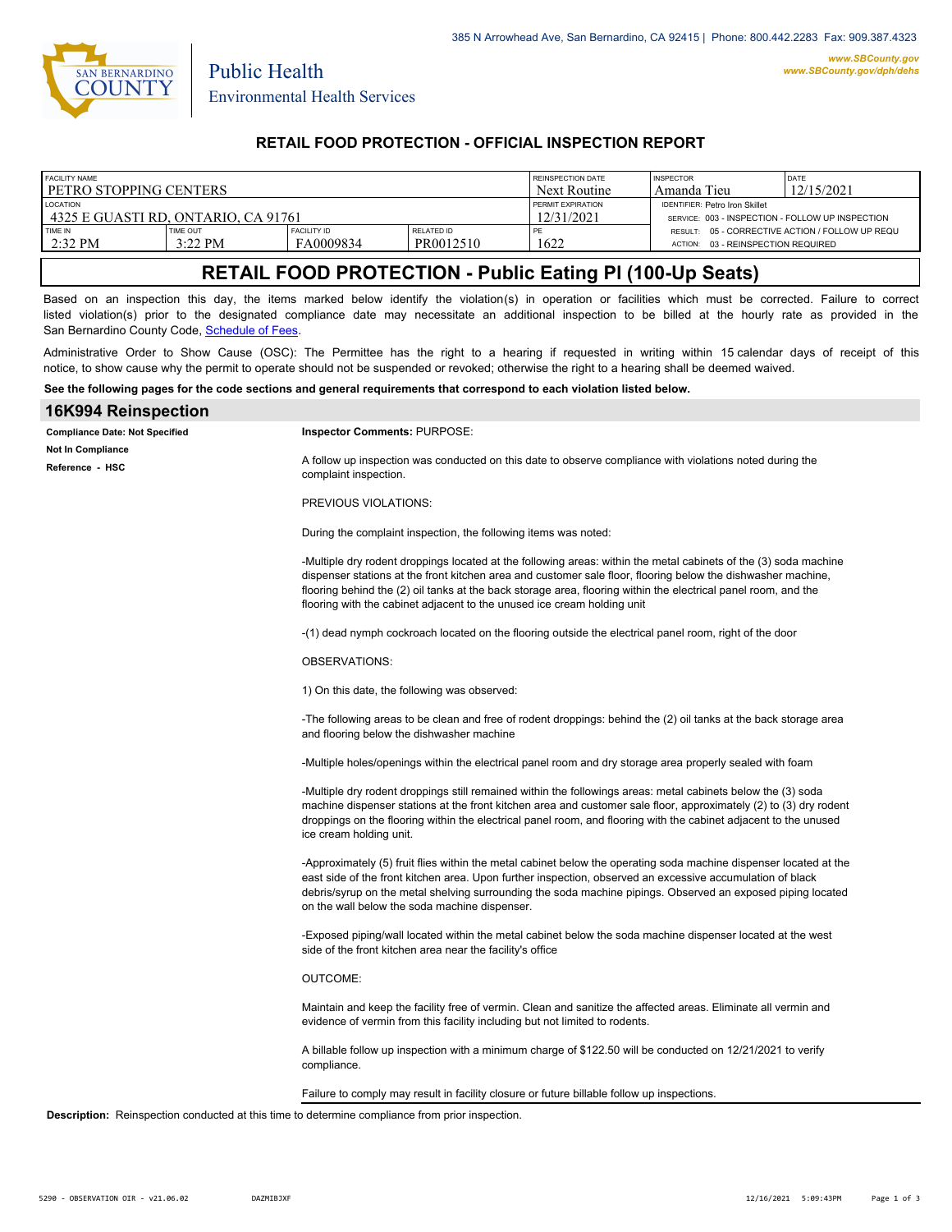

Public Health

### **RETAIL FOOD PROTECTION - OFFICIAL INSPECTION REPORT**

| <b>FACILITY NAME</b>                |                 |                    |            | <b>REINSPECTION DATE</b> | <b>INSPECTOR</b>                                 | <b>DATE</b>                                     |
|-------------------------------------|-----------------|--------------------|------------|--------------------------|--------------------------------------------------|-------------------------------------------------|
| l petro stopping centers            |                 |                    |            | Next Routine             | Amanda Tieu                                      | 12/15/2021                                      |
| <b>LOCATION</b>                     |                 |                    |            | PERMIT EXPIRATION        | <b>IDENTIFIER: Petro Iron Skillet</b>            |                                                 |
| 4325 E GUASTI RD. ONTARIO. CA 91761 |                 |                    |            | 12/31/2021               | SERVICE: 003 - INSPECTION - FOLLOW UP INSPECTION |                                                 |
| TIME IN                             | <b>TIME OUT</b> | <b>FACILITY ID</b> | RELATED ID | PE.                      | 03 - REINSPECTION REQUIRED                       | RESULT: 05 - CORRECTIVE ACTION / FOLLOW UP REQU |
| $2:32$ PM                           | 3:22 PM         | FA0009834          | PR0012510  | 622                      | <b>ACTION:</b>                                   |                                                 |

# **RETAIL FOOD PROTECTION - Public Eating Pl (100-Up Seats)**

Based on an inspection this day, the items marked below identify the violation(s) in operation or facilities which must be corrected. Failure to correct listed violation(s) prior to the designated compliance date may necessitate an additional inspection to be billed at the hourly rate as provided in the San Bernardino County Code, Sc[hedule of Fees.](https://codelibrary.amlegal.com/codes/sanbernardino/latest/sanberncty_ca/0-0-0-122474#JD_16.0213B)

Administrative Order to Show Cause (OSC): The Permittee has the right to a hearing if requested in writing within 15 calendar days of receipt of this notice, to show cause why the permit to operate should not be suspended or revoked; otherwise the right to a hearing shall be deemed waived.

#### **See the following pages for the code sections and general requirements that correspond to each violation listed below.**

| 16K994 Reinspection                                                                                    |                                                                                                                                                                                                                                                                                                                                                                                                                               |  |
|--------------------------------------------------------------------------------------------------------|-------------------------------------------------------------------------------------------------------------------------------------------------------------------------------------------------------------------------------------------------------------------------------------------------------------------------------------------------------------------------------------------------------------------------------|--|
| <b>Compliance Date: Not Specified</b>                                                                  | Inspector Comments: PURPOSE:                                                                                                                                                                                                                                                                                                                                                                                                  |  |
| <b>Not In Compliance</b><br>Reference HSC                                                              | A follow up inspection was conducted on this date to observe compliance with violations noted during the<br>complaint inspection.                                                                                                                                                                                                                                                                                             |  |
|                                                                                                        | PREVIOUS VIOLATIONS:                                                                                                                                                                                                                                                                                                                                                                                                          |  |
|                                                                                                        | During the complaint inspection, the following items was noted:                                                                                                                                                                                                                                                                                                                                                               |  |
|                                                                                                        | -Multiple dry rodent droppings located at the following areas: within the metal cabinets of the (3) soda machine<br>dispenser stations at the front kitchen area and customer sale floor, flooring below the dishwasher machine,<br>flooring behind the (2) oil tanks at the back storage area, flooring within the electrical panel room, and the<br>flooring with the cabinet adjacent to the unused ice cream holding unit |  |
|                                                                                                        | -(1) dead nymph cockroach located on the flooring outside the electrical panel room, right of the door                                                                                                                                                                                                                                                                                                                        |  |
|                                                                                                        | <b>OBSERVATIONS:</b>                                                                                                                                                                                                                                                                                                                                                                                                          |  |
|                                                                                                        | 1) On this date, the following was observed:                                                                                                                                                                                                                                                                                                                                                                                  |  |
|                                                                                                        | -The following areas to be clean and free of rodent droppings: behind the (2) oil tanks at the back storage area<br>and flooring below the dishwasher machine                                                                                                                                                                                                                                                                 |  |
|                                                                                                        | -Multiple holes/openings within the electrical panel room and dry storage area properly sealed with foam                                                                                                                                                                                                                                                                                                                      |  |
|                                                                                                        | -Multiple dry rodent droppings still remained within the followings areas: metal cabinets below the (3) soda<br>machine dispenser stations at the front kitchen area and customer sale floor, approximately (2) to (3) dry rodent<br>droppings on the flooring within the electrical panel room, and flooring with the cabinet adjacent to the unused<br>ice cream holding unit.                                              |  |
|                                                                                                        | -Approximately (5) fruit flies within the metal cabinet below the operating soda machine dispenser located at the<br>east side of the front kitchen area. Upon further inspection, observed an excessive accumulation of black<br>debris/syrup on the metal shelving surrounding the soda machine pipings. Observed an exposed piping located<br>on the wall below the soda machine dispenser.                                |  |
|                                                                                                        | -Exposed piping/wall located within the metal cabinet below the soda machine dispenser located at the west<br>side of the front kitchen area near the facility's office                                                                                                                                                                                                                                                       |  |
|                                                                                                        | <b>OUTCOME:</b>                                                                                                                                                                                                                                                                                                                                                                                                               |  |
|                                                                                                        | Maintain and keep the facility free of vermin. Clean and sanitize the affected areas. Eliminate all vermin and<br>evidence of vermin from this facility including but not limited to rodents.                                                                                                                                                                                                                                 |  |
|                                                                                                        | A billable follow up inspection with a minimum charge of \$122.50 will be conducted on 12/21/2021 to verify<br>compliance.                                                                                                                                                                                                                                                                                                    |  |
|                                                                                                        | Failure to comply may result in facility closure or future billable follow up inspections.                                                                                                                                                                                                                                                                                                                                    |  |
| <b>Description:</b> Reinspection conducted at this time to determine compliance from prior inspection. |                                                                                                                                                                                                                                                                                                                                                                                                                               |  |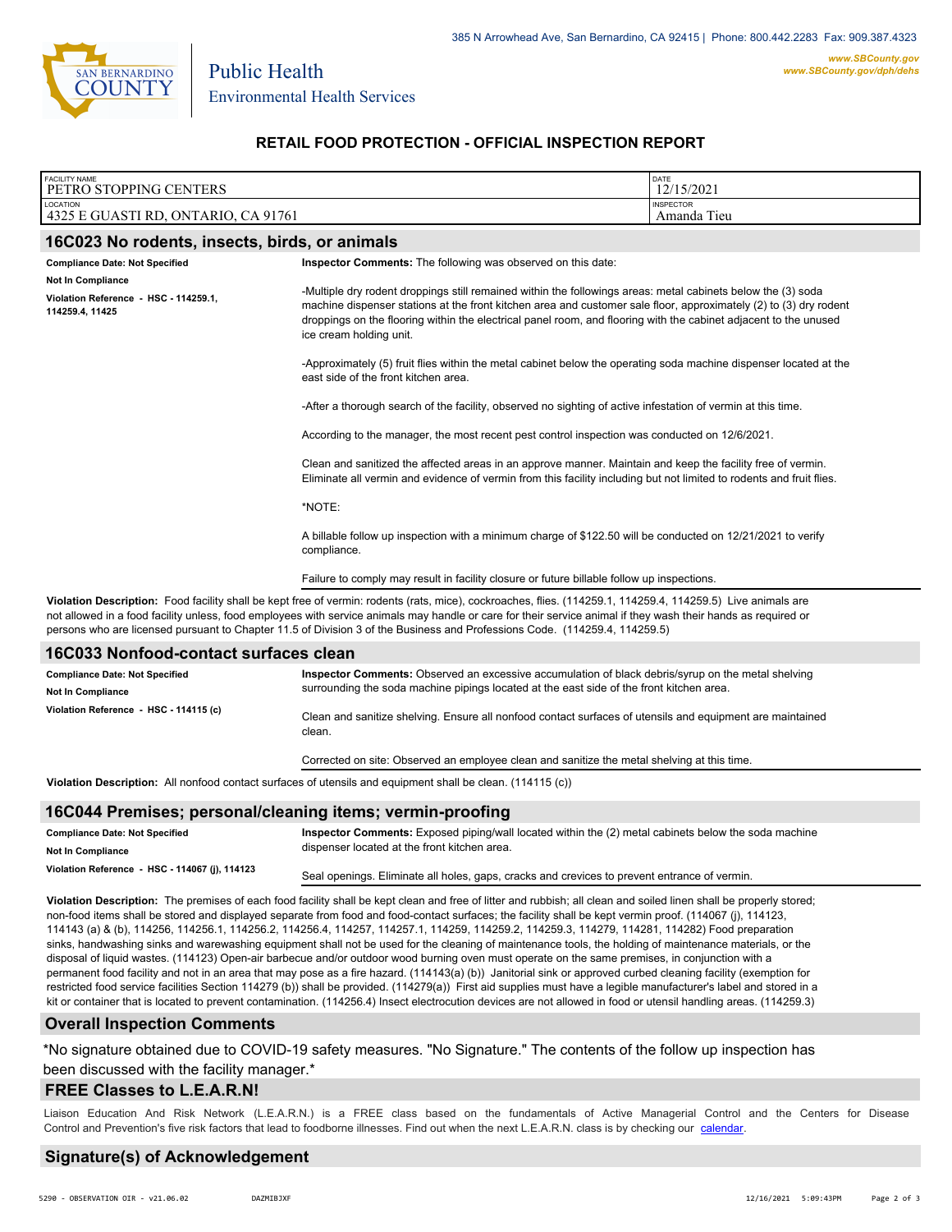

Public Health

Environmental Health Services

**RETAIL FOOD PROTECTION - OFFICIAL INSPECTION REPORT**

| <b>FACILITY NAME</b><br>PETRO STOPPING CENTERS                                                                                                                                                                                                                                                                                                                                                                                                               | DATE<br>12/15/2021                                                                                                                                                                                                                                                                                                                                                               |                                                                                                                                                                                                |  |  |  |  |
|--------------------------------------------------------------------------------------------------------------------------------------------------------------------------------------------------------------------------------------------------------------------------------------------------------------------------------------------------------------------------------------------------------------------------------------------------------------|----------------------------------------------------------------------------------------------------------------------------------------------------------------------------------------------------------------------------------------------------------------------------------------------------------------------------------------------------------------------------------|------------------------------------------------------------------------------------------------------------------------------------------------------------------------------------------------|--|--|--|--|
| LOCATION<br>4325 E GUASTI RD, ONTARIO, CA 91761                                                                                                                                                                                                                                                                                                                                                                                                              | <b>INSPECTOR</b><br>Amanda Tieu                                                                                                                                                                                                                                                                                                                                                  |                                                                                                                                                                                                |  |  |  |  |
| 16C023 No rodents, insects, birds, or animals                                                                                                                                                                                                                                                                                                                                                                                                                |                                                                                                                                                                                                                                                                                                                                                                                  |                                                                                                                                                                                                |  |  |  |  |
| <b>Compliance Date: Not Specified</b>                                                                                                                                                                                                                                                                                                                                                                                                                        |                                                                                                                                                                                                                                                                                                                                                                                  |                                                                                                                                                                                                |  |  |  |  |
| Not In Compliance<br>Violation Reference - HSC - 114259.1,<br>114259.4, 11425                                                                                                                                                                                                                                                                                                                                                                                | -Multiple dry rodent droppings still remained within the followings areas: metal cabinets below the (3) soda<br>machine dispenser stations at the front kitchen area and customer sale floor, approximately (2) to (3) dry rodent<br>droppings on the flooring within the electrical panel room, and flooring with the cabinet adjacent to the unused<br>ice cream holding unit. |                                                                                                                                                                                                |  |  |  |  |
|                                                                                                                                                                                                                                                                                                                                                                                                                                                              | -Approximately (5) fruit flies within the metal cabinet below the operating soda machine dispenser located at the<br>east side of the front kitchen area.                                                                                                                                                                                                                        |                                                                                                                                                                                                |  |  |  |  |
| -After a thorough search of the facility, observed no sighting of active infestation of vermin at this time.                                                                                                                                                                                                                                                                                                                                                 |                                                                                                                                                                                                                                                                                                                                                                                  |                                                                                                                                                                                                |  |  |  |  |
|                                                                                                                                                                                                                                                                                                                                                                                                                                                              | According to the manager, the most recent pest control inspection was conducted on 12/6/2021.                                                                                                                                                                                                                                                                                    |                                                                                                                                                                                                |  |  |  |  |
|                                                                                                                                                                                                                                                                                                                                                                                                                                                              | Clean and sanitized the affected areas in an approve manner. Maintain and keep the facility free of vermin.<br>Eliminate all vermin and evidence of vermin from this facility including but not limited to rodents and fruit flies.                                                                                                                                              |                                                                                                                                                                                                |  |  |  |  |
|                                                                                                                                                                                                                                                                                                                                                                                                                                                              | *NOTE:                                                                                                                                                                                                                                                                                                                                                                           |                                                                                                                                                                                                |  |  |  |  |
|                                                                                                                                                                                                                                                                                                                                                                                                                                                              | A billable follow up inspection with a minimum charge of \$122.50 will be conducted on 12/21/2021 to verify<br>compliance.                                                                                                                                                                                                                                                       |                                                                                                                                                                                                |  |  |  |  |
|                                                                                                                                                                                                                                                                                                                                                                                                                                                              | Failure to comply may result in facility closure or future billable follow up inspections.                                                                                                                                                                                                                                                                                       |                                                                                                                                                                                                |  |  |  |  |
| Violation Description: Food facility shall be kept free of vermin: rodents (rats, mice), cockroaches, flies. (114259.1, 114259.4, 114259.5) Live animals are<br>not allowed in a food facility unless, food employees with service animals may handle or care for their service animal if they wash their hands as required or<br>persons who are licensed pursuant to Chapter 11.5 of Division 3 of the Business and Professions Code. (114259.4, 114259.5) |                                                                                                                                                                                                                                                                                                                                                                                  |                                                                                                                                                                                                |  |  |  |  |
| 16C033 Nonfood-contact surfaces clean                                                                                                                                                                                                                                                                                                                                                                                                                        |                                                                                                                                                                                                                                                                                                                                                                                  |                                                                                                                                                                                                |  |  |  |  |
| <b>Compliance Date: Not Specified</b><br>Not In Compliance                                                                                                                                                                                                                                                                                                                                                                                                   |                                                                                                                                                                                                                                                                                                                                                                                  | Inspector Comments: Observed an excessive accumulation of black debris/syrup on the metal shelving<br>surrounding the soda machine pipings located at the east side of the front kitchen area. |  |  |  |  |
| Violation Reference - HSC - 114115 (c)                                                                                                                                                                                                                                                                                                                                                                                                                       | Clean and sanitize shelving. Ensure all nonfood contact surfaces of utensils and equipment are maintained                                                                                                                                                                                                                                                                        |                                                                                                                                                                                                |  |  |  |  |

**Violation Description:** All nonfood contact surfaces of utensils and equipment shall be clean. (114115 (c))

clean.

#### **16C044 Premises; personal/cleaning items; vermin-proofing**

| <b>Compliance Date: Not Specified</b>          | Inspector Comments: Exposed piping/wall located within the (2) metal cabinets below the soda machine |  |
|------------------------------------------------|------------------------------------------------------------------------------------------------------|--|
| <b>Not In Compliance</b>                       | dispenser located at the front kitchen area.                                                         |  |
| Violation Reference - HSC - 114067 (j), 114123 | Seal openings. Eliminate all holes, gaps, cracks and crevices to prevent entrance of vermin.         |  |

Corrected on site: Observed an employee clean and sanitize the metal shelving at this time.

**Violation Description:** The premises of each food facility shall be kept clean and free of litter and rubbish; all clean and soiled linen shall be properly stored; non-food items shall be stored and displayed separate from food and food-contact surfaces; the facility shall be kept vermin proof. (114067 (j), 114123, 114143 (a) & (b), 114256, 114256.1, 114256.2, 114256.4, 114257, 114257.1, 114259, 114259.2, 114259.3, 114279, 114281, 114282) Food preparation sinks, handwashing sinks and warewashing equipment shall not be used for the cleaning of maintenance tools, the holding of maintenance materials, or the disposal of liquid wastes. (114123) Open-air barbecue and/or outdoor wood burning oven must operate on the same premises, in conjunction with a permanent food facility and not in an area that may pose as a fire hazard. (114143(a) (b)) Janitorial sink or approved curbed cleaning facility (exemption for restricted food service facilities Section 114279 (b)) shall be provided. (114279(a)) First aid supplies must have a legible manufacturer's label and stored in a kit or container that is located to prevent contamination. (114256.4) Insect electrocution devices are not allowed in food or utensil handling areas. (114259.3)

#### **Overall Inspection Comments**

\*No signature obtained due to COVID-19 safety measures. "No Signature." The contents of the follow up inspection has been discussed with the facility manager.\*

#### **FREE Classes to L.E.A.R.N!**

Liaison Education And Risk Network (L.E.A.R.N.) is a FREE class based on the fundamentals of Active Managerial Control and [the Centers](http://wp.sbcounty.gov/dph/events/) for Disease Control and Prevention's five risk factors that lead to foodborne illnesses. Find out when the next L.E.A.R.N. class is by checking our calendar.

#### **Signature(s) of Acknowledgement**